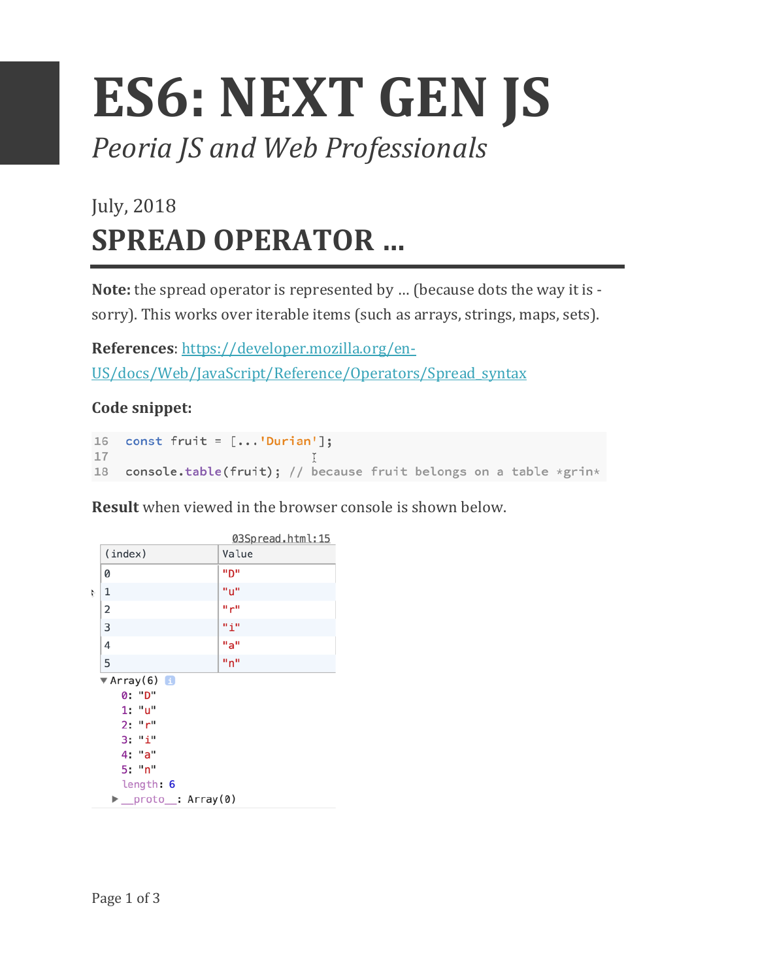## **ES6: NEXT GEN JS** *Peoria JS and Web Professionals*

## July, 2018 **SPREAD OPERATOR ...**

**Note:** the spread operator is represented by ... (because dots the way it is sorry). This works over iterable items (such as arrays, strings, maps, sets).

**References**: https://developer.mozilla.org/en-US/docs/Web/JavaScript/Reference/Operators/Spread\_syntax

## **Code snippet:**

```
16 const fruit = [...]Durian'];
17
18 console.table(fruit); // because fruit belongs on a table *grin*
```
**Result** when viewed in the browser console is shown below.

|           |                                 | 03Spread.html:15 |  |
|-----------|---------------------------------|------------------|--|
|           | (index)                         | Value            |  |
|           | 0                               | יימיי            |  |
| t         | 1                               | "u"              |  |
|           | 2                               | որա              |  |
|           | 3                               | ոքո              |  |
|           | 4                               | "a"              |  |
|           | 5                               | "n"              |  |
|           | $\blacktriangledown$ Array(6) 1 |                  |  |
| 0: "D"    |                                 |                  |  |
|           | 1: "u"                          |                  |  |
| 2: "r"    |                                 |                  |  |
|           | 3: "i"                          |                  |  |
|           | 4: "a"                          |                  |  |
|           | 5: "n"                          |                  |  |
| length: 6 |                                 |                  |  |
|           | proto : Arrav(0)                |                  |  |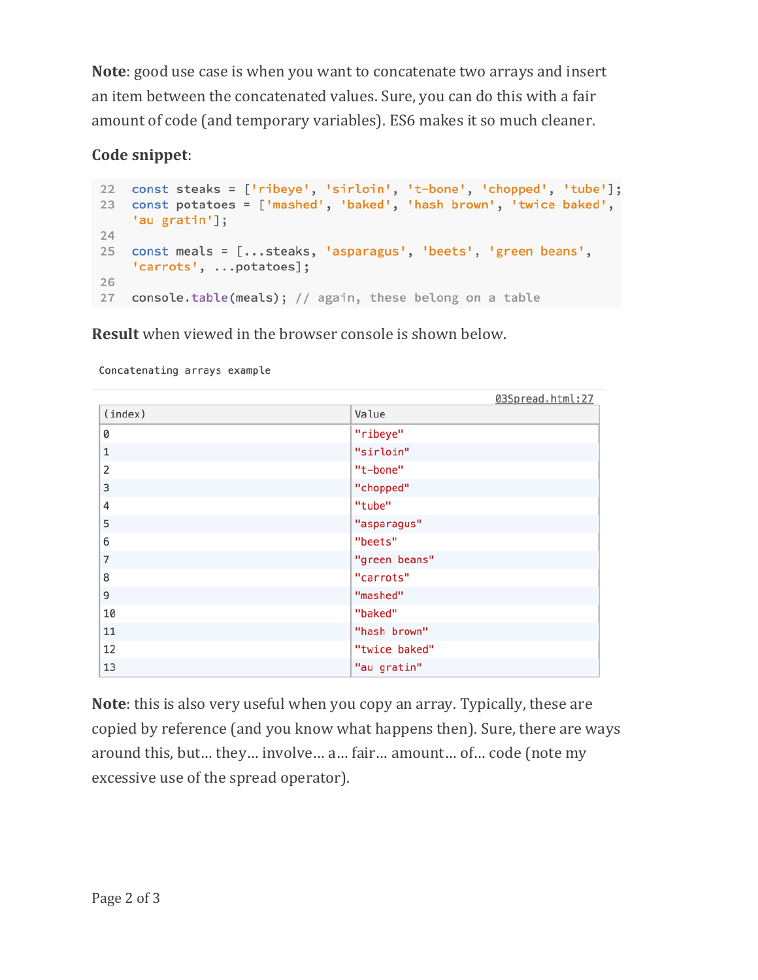**Note**: good use case is when you want to concatenate two arrays and insert an item between the concatenated values. Sure, you can do this with a fair amount of code (and temporary variables). ES6 makes it so much cleaner.

## **Code snippet**:

```
22 const steaks = ['ribeye', 'sirloin', 't-bone', 'chopped', 'tube'];
23 const potatoes = ['mashed', 'baked', 'hash brown', 'twice baked',
   'au gratin'];
24
25 const meals = [...steaks, 'asparagus', 'beets', 'green beans',
    'carrots', ...potatoes];
26
27 console.table(meals); // again, these belong on a table
```
**Result** when viewed in the browser console is shown below.

Concatenating arrays example

|              | 03Spread.html:27 |
|--------------|------------------|
| (index)      | Value            |
| 0            | "ribeye"         |
| $\mathbf{1}$ | "sirloin"        |
| 2            | "t-bone"         |
| 3            | "chopped"        |
| 4            | "tube"           |
| 5            | "asparagus"      |
| 6            | "beets"          |
| 7            | "green beans"    |
| 8            | "carrots"        |
| 9            | "mashed"         |
| 10           | "baked"          |
| 11           | "hash brown"     |
| 12           | "twice baked"    |
| 13           | "au gratin"      |

**Note**: this is also very useful when you copy an array. Typically, these are copied by reference (and you know what happens then). Sure, there are ways around this, but... they... involve... a... fair... amount... of... code (note my excessive use of the spread operator).